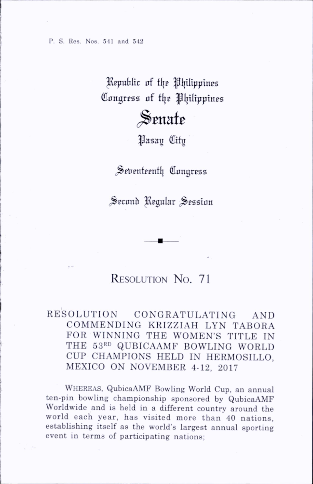P. S. Res. Nos. 541 and 542

## Republic of the Philippines Congress of the Philippines

## Senate

fjasay City

Seventeenth Congress

Seconh Regular Session

## RESOLUTION No. 71

## RESOLUTION CONGRATULATING AND COMMENDING KRIZZIAH LYN TABORA FOR WINNING THE WOMEN'S TITLE IN THE 53RD QUBICAAMF BOWLING WORLD CUP CHAMPIONS HELD IN HERMOSILLO. MEXICO ON NOVEMBER 4-12, 2017

Whereas, QubicaAMF Bowling World Cup, an annual ten-pin bowling championship sponsored by QubicaAMF Worldwide and is held in a different country around the world each year, has visited more than 40 nations, establishing itself as the world's largest annual sporting event in terms of participating nations;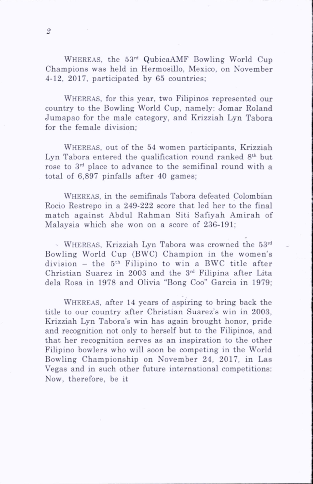WHEREAS, the  $53<sup>rd</sup>$  QubicaAMF Bowling World Cup Champions was held in Hermosillo, Mexico, on November 4-12, 2017, participated by  $65$  countries:

WHEREAS, for this year, two Filipinos represented our country to the Bowling World Cup, namely: Jomar Roland Jum apao for the male category, and Krizziah Lyn Tabora for the female division;

WHEREAS, out of the 54 women participants, Krizziah Lyn Tabora entered the qualification round ranked 8<sup>th</sup> but rose to 3rd place to advance to the semifinal round with a total of 6,897 pinfalls after 40 games;

Whereas, in the semifinals Tabora defeated Colombian Rocio Restrepo in a 249-222 score that led her to the final match against Abdul Rahman Siti Safiyah Amirah of Malaysia which she won on a score of 236-191;

 $\sim$  WHEREAS, Krizziah Lyn Tabora was crowned the 53<sup>rd</sup> Bowling World Cup (BWC) Champion in the women's  $division - the 5<sup>th</sup> Filinino to win a BWC title after$ Christian Suarez in 2003 and the 3rd Filipina after Lita dela Rosa in 1978 and Olivia "Bong Coo" Garcia in 1979;

WHEREAS, after 14 years of aspiring to bring back the title to our country after Christian Suarez's win in 2003, Krizziah Lyn Tabora's win has again brought honor, pride and recognition not only to herself but to the Filipinos, and that her recognition serves as an inspiration to the other Filipino bowlers who will soon be competing in the World Bowling Championship on November 24, 2017, in Las Vegas and in such other future international competitions; Now, therefore, be it

 $\overline{2}$